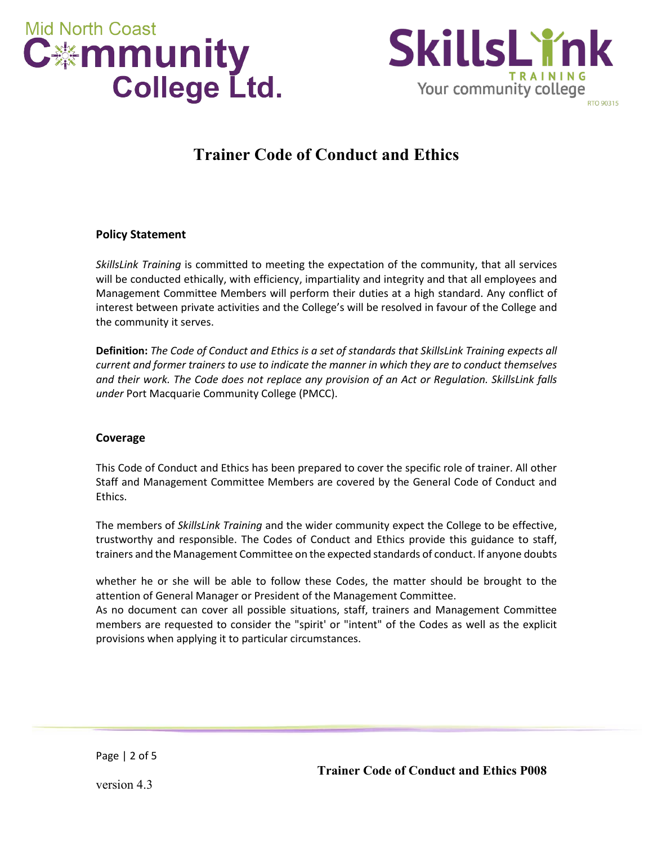



# **Trainer Code of Conduct and Ethics**

## **Policy Statement**

*SkillsLink Training* is committed to meeting the expectation of the community, that all services will be conducted ethically, with efficiency, impartiality and integrity and that all employees and Management Committee Members will perform their duties at a high standard. Any conflict of interest between private activities and the College's will be resolved in favour of the College and the community it serves.

**Definition:** *The Code of Conduct and Ethics is a set of standards that SkillsLink Training expects all current and former trainers to use to indicate the manner in which they are to conduct themselves and their work. The Code does not replace any provision of an Act or Regulation. SkillsLink falls under* Port Macquarie Community College (PMCC).

#### **Coverage**

This Code of Conduct and Ethics has been prepared to cover the specific role of trainer. All other Staff and Management Committee Members are covered by the General Code of Conduct and Ethics.

The members of *SkillsLink Training* and the wider community expect the College to be effective, trustworthy and responsible. The Codes of Conduct and Ethics provide this guidance to staff, trainers and the Management Committee on the expected standards of conduct. If anyone doubts

whether he or she will be able to follow these Codes, the matter should be brought to the attention of General Manager or President of the Management Committee.

As no document can cover all possible situations, staff, trainers and Management Committee members are requested to consider the "spirit' or "intent" of the Codes as well as the explicit provisions when applying it to particular circumstances.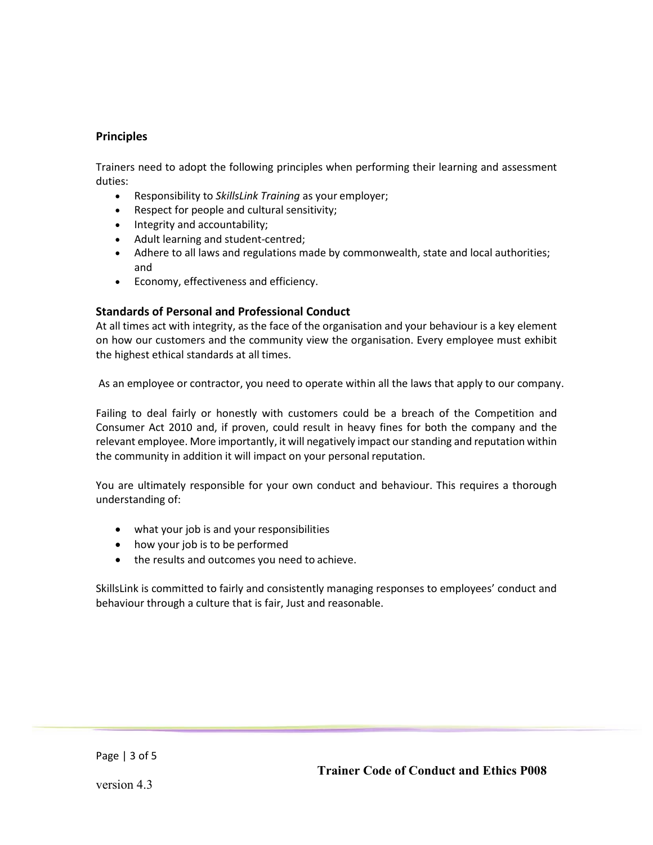# **Principles**

Trainers need to adopt the following principles when performing their learning and assessment duties:

- Responsibility to *SkillsLink Training* as your employer;
- Respect for people and cultural sensitivity;
- Integrity and accountability;
- Adult learning and student-centred;
- Adhere to all laws and regulations made by commonwealth, state and local authorities; and
- Economy, effectiveness and efficiency.

## **Standards of Personal and Professional Conduct**

At all times act with integrity, as the face of the organisation and your behaviour is a key element on how our customers and the community view the organisation. Every employee must exhibit the highest ethical standards at all times.

As an employee or contractor, you need to operate within all the laws that apply to our company.

Failing to deal fairly or honestly with customers could be a breach of the Competition and Consumer Act 2010 and, if proven, could result in heavy fines for both the company and the relevant employee. More importantly, it will negatively impact ourstanding and reputation within the community in addition it will impact on your personal reputation.

You are ultimately responsible for your own conduct and behaviour. This requires a thorough understanding of:

- what your job is and your responsibilities
- how your job is to be performed
- the results and outcomes you need to achieve.

SkillsLink is committed to fairly and consistently managing responses to employees' conduct and behaviour through a culture that is fair, Just and reasonable.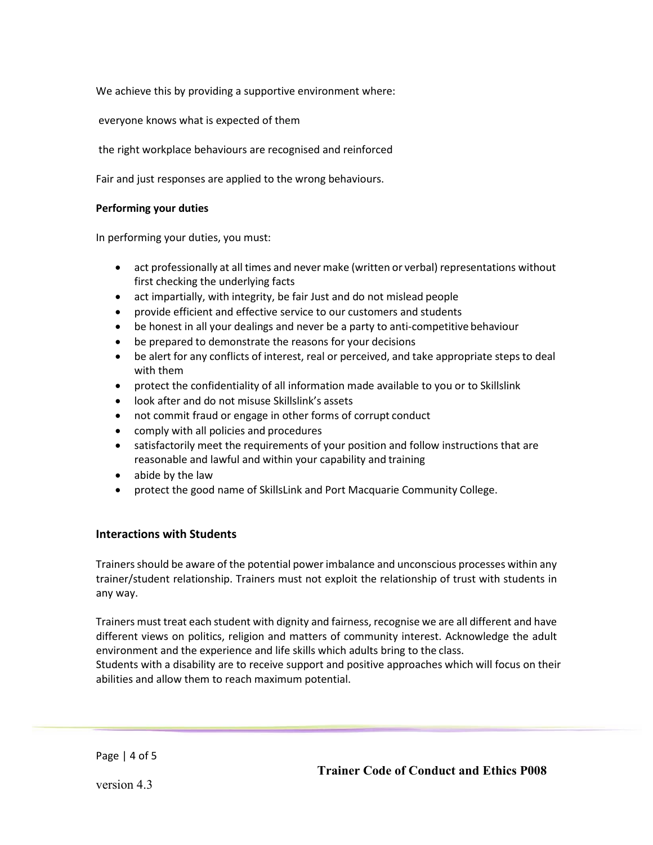We achieve this by providing a supportive environment where:

everyone knows what is expected of them

the right workplace behaviours are recognised and reinforced

Fair and just responses are applied to the wrong behaviours.

#### **Performing your duties**

In performing your duties, you must:

- act professionally at all times and never make (written or verbal) representations without first checking the underlying facts
- act impartially, with integrity, be fair Just and do not mislead people
- provide efficient and effective service to our customers and students
- be honest in all your dealings and never be a party to anti-competitive behaviour
- be prepared to demonstrate the reasons for your decisions
- be alert for any conflicts of interest, real or perceived, and take appropriate steps to deal with them
- protect the confidentiality of all information made available to you or to Skillslink
- look after and do not misuse Skillslink's assets
- not commit fraud or engage in other forms of corrupt conduct
- comply with all policies and procedures
- satisfactorily meet the requirements of your position and follow instructions that are reasonable and lawful and within your capability and training
- abide by the law
- protect the good name of SkillsLink and Port Macquarie Community College.

#### **Interactions with Students**

Trainersshould be aware of the potential power imbalance and unconscious processes within any trainer/student relationship. Trainers must not exploit the relationship of trust with students in any way.

Trainers must treat each student with dignity and fairness, recognise we are all different and have different views on politics, religion and matters of community interest. Acknowledge the adult environment and the experience and life skills which adults bring to the class.

Students with a disability are to receive support and positive approaches which will focus on their abilities and allow them to reach maximum potential.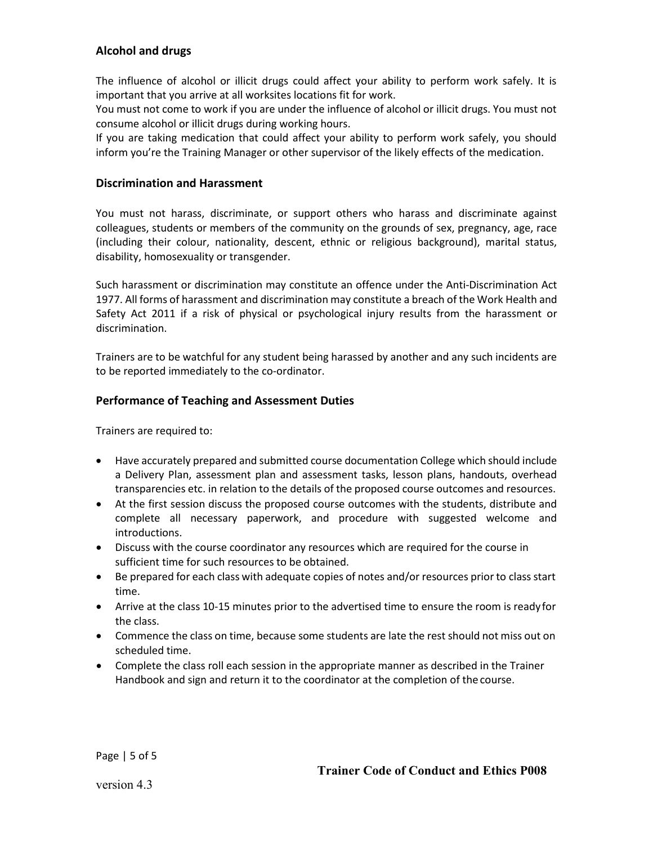# **Alcohol and drugs**

The influence of alcohol or illicit drugs could affect your ability to perform work safely. It is important that you arrive at all worksites locations fit for work.

You must not come to work if you are under the influence of alcohol or illicit drugs. You must not consume alcohol or illicit drugs during working hours.

If you are taking medication that could affect your ability to perform work safely, you should inform you're the Training Manager or other supervisor of the likely effects of the medication.

#### **Discrimination and Harassment**

You must not harass, discriminate, or support others who harass and discriminate against colleagues, students or members of the community on the grounds of sex, pregnancy, age, race (including their colour, nationality, descent, ethnic or religious background), marital status, disability, homosexuality or transgender.

Such harassment or discrimination may constitute an offence under the Anti-Discrimination Act 1977. All forms of harassment and discrimination may constitute a breach of the Work Health and Safety Act 2011 if a risk of physical or psychological injury results from the harassment or discrimination.

Trainers are to be watchful for any student being harassed by another and any such incidents are to be reported immediately to the co-ordinator.

## **Performance of Teaching and Assessment Duties**

Trainers are required to:

- Have accurately prepared and submitted course documentation College which should include a Delivery Plan, assessment plan and assessment tasks, lesson plans, handouts, overhead transparencies etc. in relation to the details of the proposed course outcomes and resources.
- At the first session discuss the proposed course outcomes with the students, distribute and complete all necessary paperwork, and procedure with suggested welcome and introductions.
- Discuss with the course coordinator any resources which are required for the course in sufficient time for such resources to be obtained.
- Be prepared for each class with adequate copies of notes and/or resources prior to class start time.
- Arrive at the class 10-15 minutes prior to the advertised time to ensure the room is ready for the class.
- Commence the class on time, because some students are late the rest should not miss out on scheduled time.
- Complete the class roll each session in the appropriate manner as described in the Trainer Handbook and sign and return it to the coordinator at the completion of the course.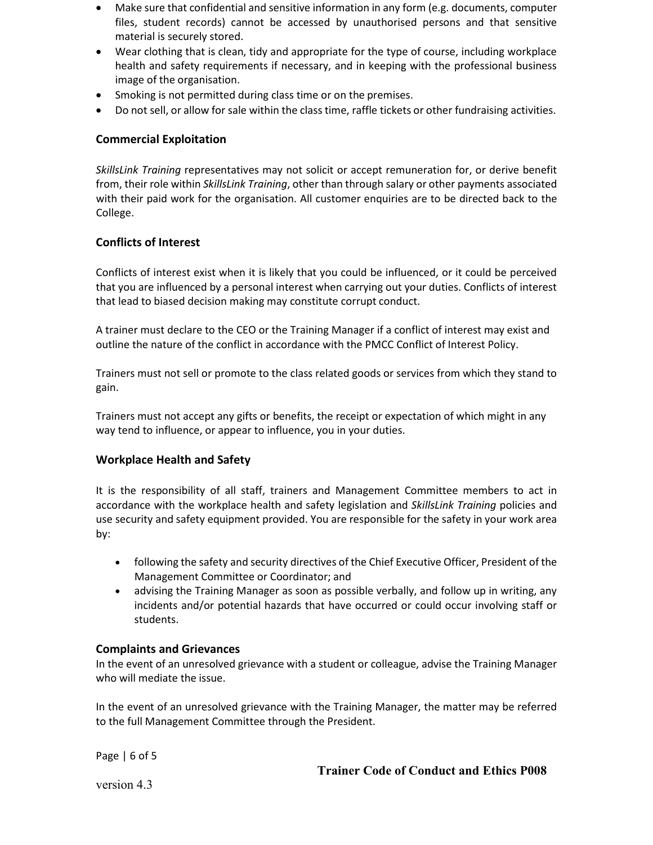- Make sure that confidential and sensitive information in any form (e.g. documents, computer files, student records) cannot be accessed by unauthorised persons and that sensitive material is securely stored.
- Wear clothing that is clean, tidy and appropriate for the type of course, including workplace health and safety requirements if necessary, and in keeping with the professional business image of the organisation.
- Smoking is not permitted during class time or on the premises.
- Do not sell, or allow for sale within the class time, raffle tickets or other fundraising activities.

### **Commercial Exploitation**

*SkillsLink Training* representatives may not solicit or accept remuneration for, or derive benefit from, their role within *SkillsLink Training*, other than through salary or other payments associated with their paid work for the organisation. All customer enquiries are to be directed back to the College.

## **Conflicts of Interest**

Conflicts of interest exist when it is likely that you could be influenced, or it could be perceived that you are influenced by a personal interest when carrying out your duties. Conflicts of interest that lead to biased decision making may constitute corrupt conduct.

A trainer must declare to the CEO or the Training Manager if a conflict of interest may exist and outline the nature of the conflict in accordance with the PMCC Conflict of Interest Policy.

Trainers must not sell or promote to the class related goods or services from which they stand to gain.

Trainers must not accept any gifts or benefits, the receipt or expectation of which might in any way tend to influence, or appear to influence, you in your duties.

#### **Workplace Health and Safety**

It is the responsibility of all staff, trainers and Management Committee members to act in accordance with the workplace health and safety legislation and *SkillsLink Training* policies and use security and safety equipment provided. You are responsible for the safety in your work area by:

- following the safety and security directives of the Chief Executive Officer, President of the Management Committee or Coordinator; and
- advising the Training Manager as soon as possible verbally, and follow up in writing, any incidents and/or potential hazards that have occurred or could occur involving staff or students.

#### **Complaints and Grievances**

In the event of an unresolved grievance with a student or colleague, advise the Training Manager who will mediate the issue.

In the event of an unresolved grievance with the Training Manager, the matter may be referred to the full Management Committee through the President.

Page | 6 of 5

**Trainer Code of Conduct and Ethics P008**

version 4.3